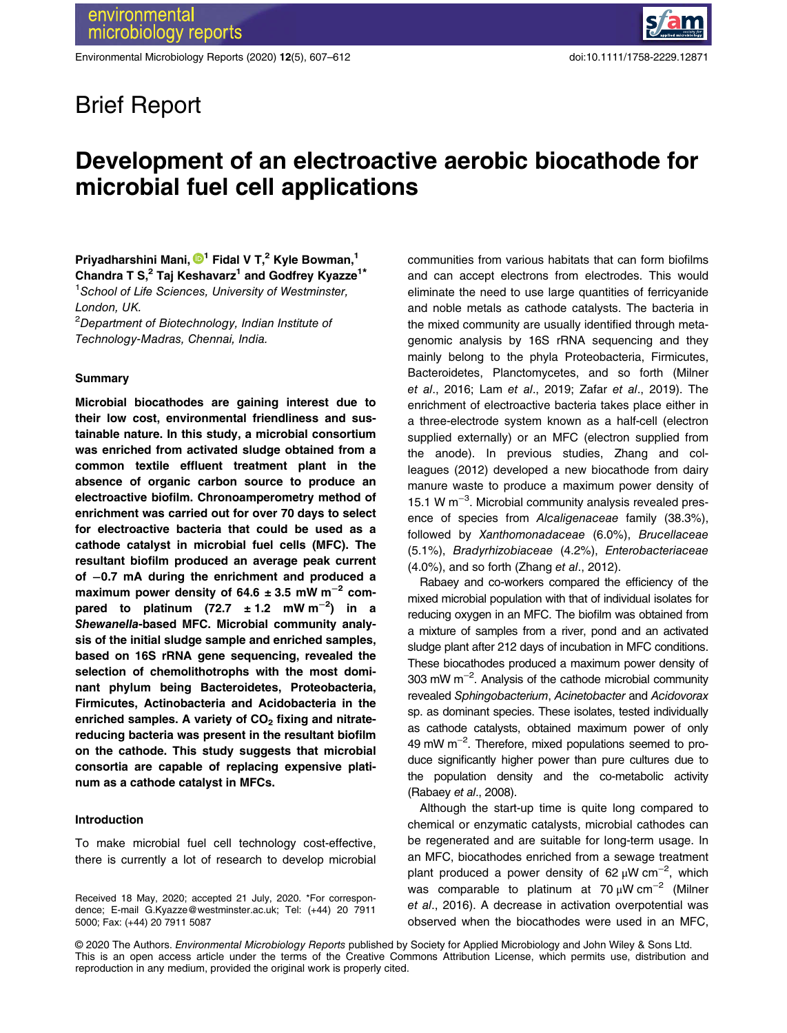Environmental Microbiology Reports (2020) 12(5), 607–612 doi:10.1111/1758-2229.12871

# Brief Report

# Development of an electroactive aerobic biocathode for microbial fuel cell applications

Priyadharshini Mani, D<sup>1</sup> Fidal V T,<sup>2</sup> Kyle Bowman,<sup>1</sup> Chandra T S,<sup>2</sup> Taj Keshavarz<sup>1</sup> and Godfrey Kyazze<sup>1\*</sup> <sup>1</sup>School of Life Sciences, University of Westminster, London, UK.  $2$ Department of Biotechnology, Indian Institute of

Technology-Madras, Chennai, India.

## Summary

Microbial biocathodes are gaining interest due to their low cost, environmental friendliness and sustainable nature. In this study, a microbial consortium was enriched from activated sludge obtained from a common textile effluent treatment plant in the absence of organic carbon source to produce an electroactive biofilm. Chronoamperometry method of enrichment was carried out for over 70 days to select for electroactive bacteria that could be used as a cathode catalyst in microbial fuel cells (MFC). The resultant biofilm produced an average peak current of −0.7 mA during the enrichment and produced a maximum power density of  $64.6 \pm 3.5$  mW m<sup>-2</sup> compared to platinum (72.7  $\pm$  1.2 mW m<sup>-2</sup>) in a Shewanella-based MFC. Microbial community analysis of the initial sludge sample and enriched samples, based on 16S rRNA gene sequencing, revealed the selection of chemolithotrophs with the most dominant phylum being Bacteroidetes, Proteobacteria, Firmicutes, Actinobacteria and Acidobacteria in the enriched samples. A variety of  $CO<sub>2</sub>$  fixing and nitratereducing bacteria was present in the resultant biofilm on the cathode. This study suggests that microbial consortia are capable of replacing expensive platinum as a cathode catalyst in MFCs.

# Introduction

To make microbial fuel cell technology cost-effective, there is currently a lot of research to develop microbial communities from various habitats that can form biofilms and can accept electrons from electrodes. This would eliminate the need to use large quantities of ferricyanide and noble metals as cathode catalysts. The bacteria in the mixed community are usually identified through metagenomic analysis by 16S rRNA sequencing and they mainly belong to the phyla Proteobacteria, Firmicutes, Bacteroidetes, Planctomycetes, and so forth (Milner et al., 2016; Lam et al., 2019; Zafar et al., 2019). The enrichment of electroactive bacteria takes place either in a three-electrode system known as a half-cell (electron supplied externally) or an MFC (electron supplied from the anode). In previous studies, Zhang and colleagues (2012) developed a new biocathode from dairy manure waste to produce a maximum power density of 15.1 W m−<sup>3</sup> . Microbial community analysis revealed presence of species from Alcaligenaceae family (38.3%), followed by Xanthomonadaceae (6.0%), Brucellaceae (5.1%), Bradyrhizobiaceae (4.2%), Enterobacteriaceae (4.0%), and so forth (Zhang et al., 2012).

Rabaey and co-workers compared the efficiency of the mixed microbial population with that of individual isolates for reducing oxygen in an MFC. The biofilm was obtained from a mixture of samples from a river, pond and an activated sludge plant after 212 days of incubation in MFC conditions. These biocathodes produced a maximum power density of 303 mW m−<sup>2</sup> . Analysis of the cathode microbial community revealed Sphingobacterium, Acinetobacter and Acidovorax sp. as dominant species. These isolates, tested individually as cathode catalysts, obtained maximum power of only 49 mW m−<sup>2</sup> . Therefore, mixed populations seemed to produce significantly higher power than pure cultures due to the population density and the co-metabolic activity (Rabaey et al., 2008).

Although the start-up time is quite long compared to chemical or enzymatic catalysts, microbial cathodes can be regenerated and are suitable for long-term usage. In an MFC, biocathodes enriched from a sewage treatment plant produced a power density of 62  $\mu$ W cm<sup>-2</sup>, which was comparable to platinum at 70 μW cm<sup>−2</sup> (Milner et al., 2016). A decrease in activation overpotential was observed when the biocathodes were used in an MFC,

© 2020 The Authors. Environmental Microbiology Reports published by Society for Applied Microbiology and John Wiley & Sons Ltd. This is an open access article under the terms of the Creative Commons Attribution License, which permits use, distribution and reproduction in any medium, provided the original work is properly cited.

Received 18 May, 2020; accepted 21 July, 2020. \*For correspondence; E-mail G.Kyazze@westminster.ac.uk; Tel: (+44) 20 7911 5000; Fax: (+44) 20 7911 5087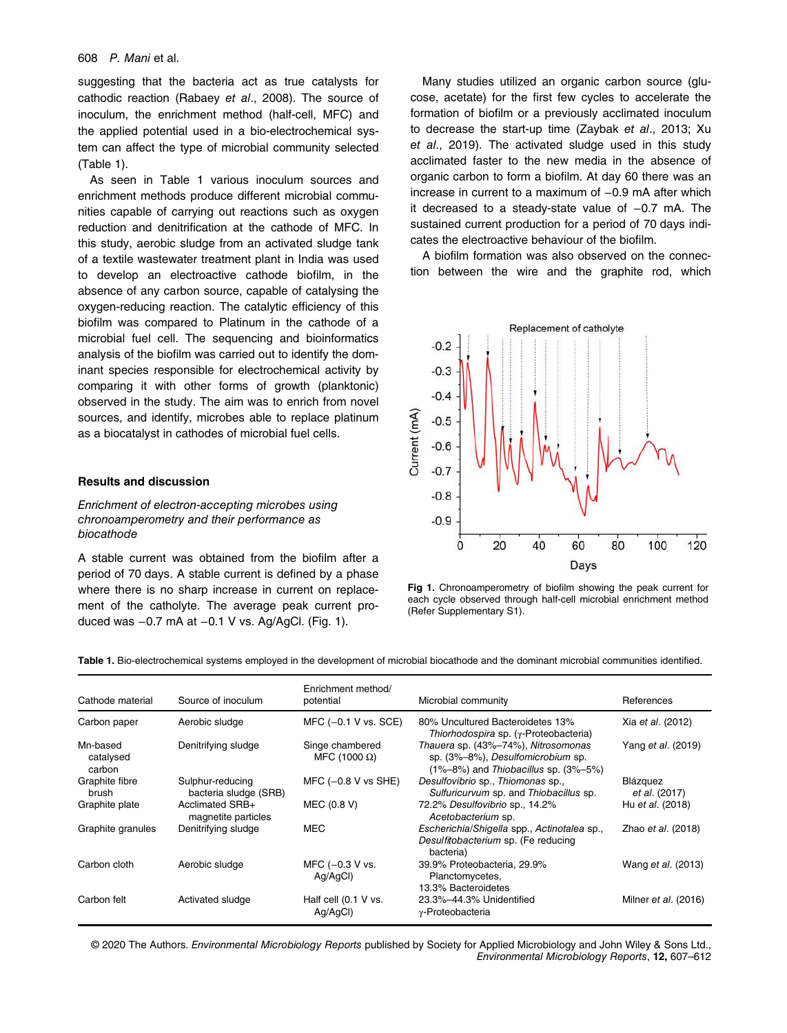### 608 P. Mani et al.

suggesting that the bacteria act as true catalysts for cathodic reaction (Rabaey et al., 2008). The source of inoculum, the enrichment method (half-cell, MFC) and the applied potential used in a bio-electrochemical system can affect the type of microbial community selected (Table 1).

As seen in Table 1 various inoculum sources and enrichment methods produce different microbial communities capable of carrying out reactions such as oxygen reduction and denitrification at the cathode of MFC. In this study, aerobic sludge from an activated sludge tank of a textile wastewater treatment plant in India was used to develop an electroactive cathode biofilm, in the absence of any carbon source, capable of catalysing the oxygen-reducing reaction. The catalytic efficiency of this biofilm was compared to Platinum in the cathode of a microbial fuel cell. The sequencing and bioinformatics analysis of the biofilm was carried out to identify the dominant species responsible for electrochemical activity by comparing it with other forms of growth (planktonic) observed in the study. The aim was to enrich from novel sources, and identify, microbes able to replace platinum as a biocatalyst in cathodes of microbial fuel cells.

## Results and discussion

Enrichment of electron-accepting microbes using chronoamperometry and their performance as biocathode

A stable current was obtained from the biofilm after a period of 70 days. A stable current is defined by a phase where there is no sharp increase in current on replacement of the catholyte. The average peak current produced was −0.7 mA at −0.1 V vs. Ag/AgCl. (Fig. 1).

Many studies utilized an organic carbon source (glucose, acetate) for the first few cycles to accelerate the formation of biofilm or a previously acclimated inoculum to decrease the start-up time (Zaybak et al., 2013; Xu et al., 2019). The activated sludge used in this study acclimated faster to the new media in the absence of organic carbon to form a biofilm. At day 60 there was an increase in current to a maximum of −0.9 mA after which it decreased to a steady-state value of −0.7 mA. The sustained current production for a period of 70 days indicates the electroactive behaviour of the biofilm.

A biofilm formation was also observed on the connection between the wire and the graphite rod, which



Fig 1. Chronoamperometry of biofilm showing the peak current for each cycle observed through half-cell microbial enrichment method (Refer Supplementary S1).

Table 1. Bio-electrochemical systems employed in the development of microbial biocathode and the dominant microbial communities identified.

| Cathode material                | Source of inoculum                        | Enrichment method/<br>potential         | Microbial community                                                                                                          | References                  |
|---------------------------------|-------------------------------------------|-----------------------------------------|------------------------------------------------------------------------------------------------------------------------------|-----------------------------|
| Carbon paper                    | Aerobic sludge                            | MFC $(-0.1 V vs. SCE)$                  | 80% Uncultured Bacteroidetes 13%<br>Thiorhodospira sp. $(\gamma$ -Proteobacteria)                                            | Xia et al. (2012)           |
| Mn-based<br>catalysed<br>carbon | Denitrifying sludge                       | Singe chambered<br>MFC (1000 $\Omega$ ) | Thauera sp. (43%-74%), Nitrosomonas<br>sp. (3%-8%), Desulfomicrobium sp.<br>$(1\% - 8\%)$ and Thiobacillus sp. $(3\% - 5\%)$ | Yang <i>et al.</i> (2019)   |
| Graphite fibre<br>brush         | Sulphur-reducing<br>bacteria sludge (SRB) | MFC $(-0.8 V vs SHE)$                   | Desulfovibrio sp., Thiomonas sp.,<br>Sulfuricurvum sp. and Thiobacillus sp.                                                  | Blázquez<br>et al. (2017)   |
| Graphite plate                  | Acclimated SRB+<br>magnetite particles    | MEC (0.8 V)                             | 72.2% Desulfovibrio sp., 14.2%<br>Acetobacterium sp.                                                                         | Hu et al. (2018)            |
| Graphite granules               | Denitrifying sludge                       | <b>MEC</b>                              | Escherichia/Shigella spp., Actinotalea sp.,<br>Desulfitobacterium sp. (Fe reducing<br>bacteria)                              | Zhao <i>et al.</i> (2018)   |
| Carbon cloth                    | Aerobic sludge                            | MFC $(-0.3 V vs.$<br>Ag/AgCl)           | 39.9% Proteobacteria, 29.9%<br>Planctomycetes,<br>13.3% Bacteroidetes                                                        | Wang et al. (2013)          |
| Carbon felt                     | Activated sludge                          | Half cell (0.1 V vs.<br>Ag/AgCl)        | 23.3%-44.3% Unidentified<br>y-Proteobacteria                                                                                 | Milner <i>et al.</i> (2016) |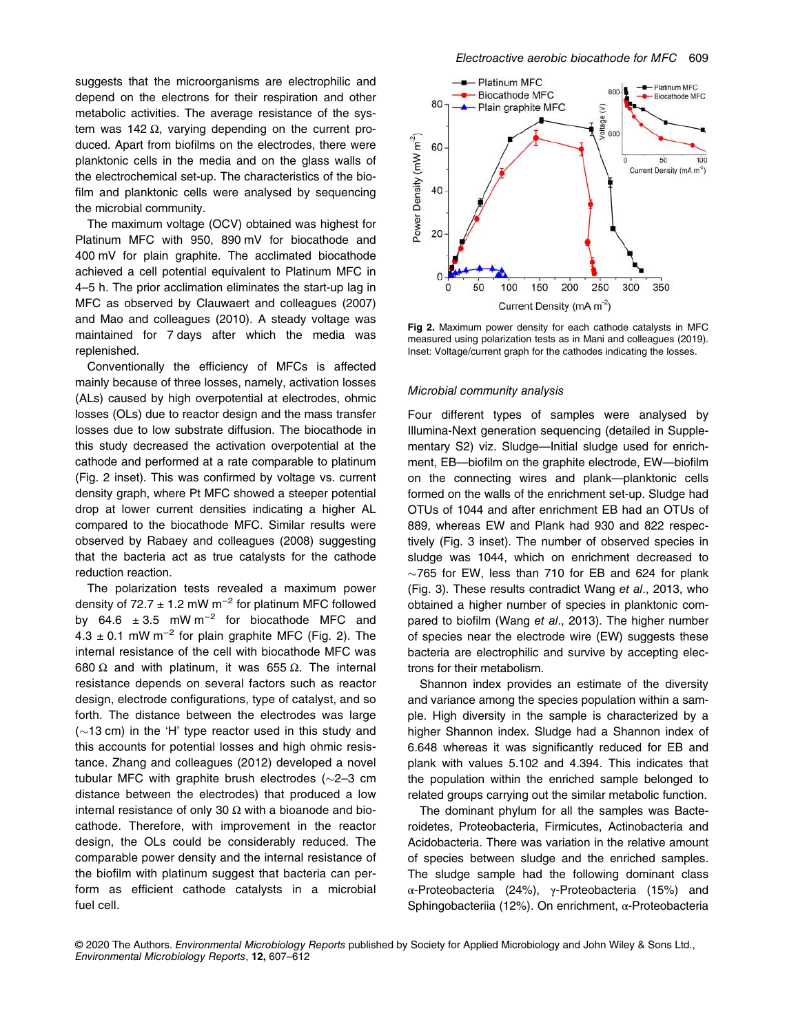suggests that the microorganisms are electrophilic and depend on the electrons for their respiration and other metabolic activities. The average resistance of the system was 142 Ω, varying depending on the current produced. Apart from biofilms on the electrodes, there were planktonic cells in the media and on the glass walls of the electrochemical set-up. The characteristics of the biofilm and planktonic cells were analysed by sequencing the microbial community.

The maximum voltage (OCV) obtained was highest for Platinum MFC with 950, 890 mV for biocathode and 400 mV for plain graphite. The acclimated biocathode achieved a cell potential equivalent to Platinum MFC in 4–5 h. The prior acclimation eliminates the start-up lag in MFC as observed by Clauwaert and colleagues (2007) and Mao and colleagues (2010). A steady voltage was maintained for 7 days after which the media was replenished.

Conventionally the efficiency of MFCs is affected mainly because of three losses, namely, activation losses (ALs) caused by high overpotential at electrodes, ohmic losses (OLs) due to reactor design and the mass transfer losses due to low substrate diffusion. The biocathode in this study decreased the activation overpotential at the cathode and performed at a rate comparable to platinum (Fig. 2 inset). This was confirmed by voltage vs. current density graph, where Pt MFC showed a steeper potential drop at lower current densities indicating a higher AL compared to the biocathode MFC. Similar results were observed by Rabaey and colleagues (2008) suggesting that the bacteria act as true catalysts for the cathode reduction reaction.

The polarization tests revealed a maximum power density of 72.7  $\pm$  1.2 mW m<sup>-2</sup> for platinum MFC followed by  $64.6 \pm 3.5$  mW m<sup>-2</sup> for biocathode MFC and  $4.3 \pm 0.1$  mW m<sup>-2</sup> for plain graphite MFC (Fig. 2). The internal resistance of the cell with biocathode MFC was 680 Ω and with platinum, it was 655 Ω. The internal resistance depends on several factors such as reactor design, electrode configurations, type of catalyst, and so forth. The distance between the electrodes was large  $(\sim 13$  cm) in the 'H' type reactor used in this study and this accounts for potential losses and high ohmic resistance. Zhang and colleagues (2012) developed a novel tubular MFC with graphite brush electrodes  $(\sim 2-3$  cm distance between the electrodes) that produced a low internal resistance of only 30  $\Omega$  with a bioanode and biocathode. Therefore, with improvement in the reactor design, the OLs could be considerably reduced. The comparable power density and the internal resistance of the biofilm with platinum suggest that bacteria can perform as efficient cathode catalysts in a microbial fuel cell.



Fig 2. Maximum power density for each cathode catalysts in MFC measured using polarization tests as in Mani and colleagues (2019). Inset: Voltage/current graph for the cathodes indicating the losses.

#### Microbial community analysis

Four different types of samples were analysed by Illumina-Next generation sequencing (detailed in Supplementary S2) viz. Sludge—Initial sludge used for enrichment, EB—biofilm on the graphite electrode, EW—biofilm on the connecting wires and plank—planktonic cells formed on the walls of the enrichment set-up. Sludge had OTUs of 1044 and after enrichment EB had an OTUs of 889, whereas EW and Plank had 930 and 822 respectively (Fig. 3 inset). The number of observed species in sludge was 1044, which on enrichment decreased to  $\sim$ 765 for EW, less than 710 for EB and 624 for plank (Fig. 3). These results contradict Wang et al., 2013, who obtained a higher number of species in planktonic compared to biofilm (Wang et al., 2013). The higher number of species near the electrode wire (EW) suggests these bacteria are electrophilic and survive by accepting electrons for their metabolism.

Shannon index provides an estimate of the diversity and variance among the species population within a sample. High diversity in the sample is characterized by a higher Shannon index. Sludge had a Shannon index of 6.648 whereas it was significantly reduced for EB and plank with values 5.102 and 4.394. This indicates that the population within the enriched sample belonged to related groups carrying out the similar metabolic function.

The dominant phylum for all the samples was Bacteroidetes, Proteobacteria, Firmicutes, Actinobacteria and Acidobacteria. There was variation in the relative amount of species between sludge and the enriched samples. The sludge sample had the following dominant class α-Proteobacteria (24%), γ-Proteobacteria (15%) and Sphingobacteriia (12%). On enrichment, α-Proteobacteria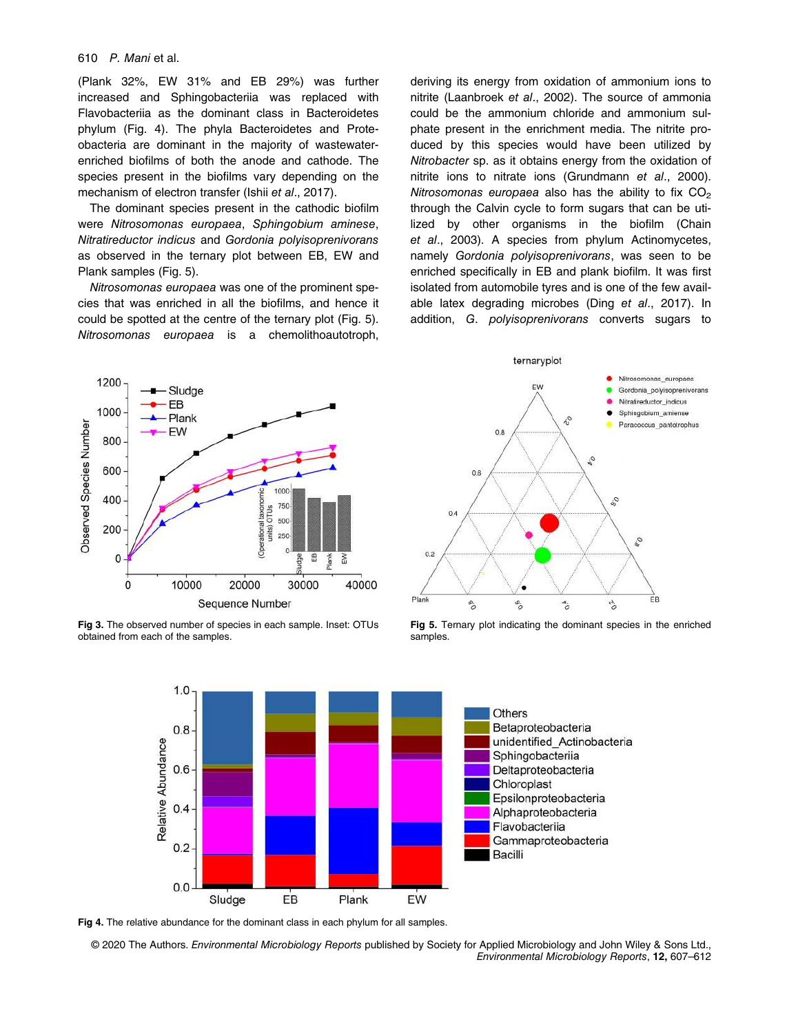#### 610 P. Mani et al.

(Plank 32%, EW 31% and EB 29%) was further increased and Sphingobacteriia was replaced with Flavobacteriia as the dominant class in Bacteroidetes phylum (Fig. 4). The phyla Bacteroidetes and Proteobacteria are dominant in the majority of wastewaterenriched biofilms of both the anode and cathode. The species present in the biofilms vary depending on the mechanism of electron transfer (Ishii et al., 2017).

The dominant species present in the cathodic biofilm were Nitrosomonas europaea, Sphingobium aminese, Nitratireductor indicus and Gordonia polyisoprenivorans as observed in the ternary plot between EB, EW and Plank samples (Fig. 5).

Nitrosomonas europaea was one of the prominent species that was enriched in all the biofilms, and hence it could be spotted at the centre of the ternary plot (Fig. 5). Nitrosomonas europaea is a chemolithoautotroph, deriving its energy from oxidation of ammonium ions to nitrite (Laanbroek et al., 2002). The source of ammonia could be the ammonium chloride and ammonium sulphate present in the enrichment media. The nitrite produced by this species would have been utilized by Nitrobacter sp. as it obtains energy from the oxidation of nitrite ions to nitrate ions (Grundmann et al., 2000). Nitrosomonas europaea also has the ability to fix  $CO<sub>2</sub>$ through the Calvin cycle to form sugars that can be utilized by other organisms in the biofilm (Chain et al., 2003). A species from phylum Actinomycetes, namely Gordonia polyisoprenivorans, was seen to be enriched specifically in EB and plank biofilm. It was first isolated from automobile tyres and is one of the few available latex degrading microbes (Ding et al., 2017). In addition, G. polyisoprenivorans converts sugars to



Fig 3. The observed number of species in each sample. Inset: OTUs obtained from each of the samples.



Fig 5. Ternary plot indicating the dominant species in the enriched samples.



Fig 4. The relative abundance for the dominant class in each phylum for all samples.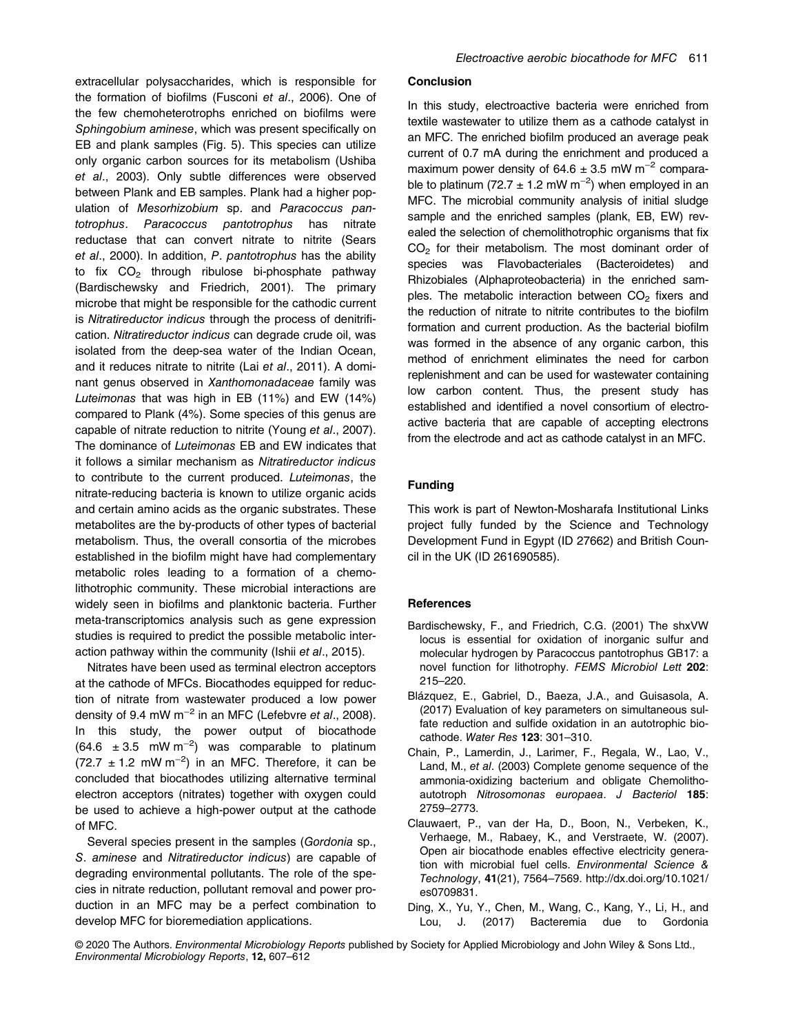extracellular polysaccharides, which is responsible for the formation of biofilms (Fusconi et al., 2006). One of the few chemoheterotrophs enriched on biofilms were Sphingobium aminese, which was present specifically on EB and plank samples (Fig. 5). This species can utilize only organic carbon sources for its metabolism (Ushiba et al., 2003). Only subtle differences were observed between Plank and EB samples. Plank had a higher population of Mesorhizobium sp. and Paracoccus pantotrophus. Paracoccus pantotrophus has nitrate reductase that can convert nitrate to nitrite (Sears et al., 2000). In addition, P. pantotrophus has the ability to fix  $CO<sub>2</sub>$  through ribulose bi-phosphate pathway (Bardischewsky and Friedrich, 2001). The primary microbe that might be responsible for the cathodic current is Nitratireductor indicus through the process of denitrification. Nitratireductor indicus can degrade crude oil, was isolated from the deep-sea water of the Indian Ocean, and it reduces nitrate to nitrite (Lai et al., 2011). A dominant genus observed in Xanthomonadaceae family was Luteimonas that was high in EB (11%) and EW (14%) compared to Plank (4%). Some species of this genus are capable of nitrate reduction to nitrite (Young et al., 2007). The dominance of Luteimonas EB and EW indicates that it follows a similar mechanism as Nitratireductor indicus to contribute to the current produced. Luteimonas, the nitrate-reducing bacteria is known to utilize organic acids and certain amino acids as the organic substrates. These metabolites are the by-products of other types of bacterial metabolism. Thus, the overall consortia of the microbes established in the biofilm might have had complementary metabolic roles leading to a formation of a chemolithotrophic community. These microbial interactions are widely seen in biofilms and planktonic bacteria. Further meta-transcriptomics analysis such as gene expression studies is required to predict the possible metabolic interaction pathway within the community (Ishii et al., 2015).

Nitrates have been used as terminal electron acceptors at the cathode of MFCs. Biocathodes equipped for reduction of nitrate from wastewater produced a low power density of 9.4 mW m<sup>-2</sup> in an MFC (Lefebvre et al., 2008). In this study, the power output of biocathode  $(64.6 \pm 3.5 \text{ mW m}^{-2})$  was comparable to platinum  $(72.7 \pm 1.2 \text{ mW m}^{-2})$  in an MFC. Therefore, it can be concluded that biocathodes utilizing alternative terminal electron acceptors (nitrates) together with oxygen could be used to achieve a high-power output at the cathode of MFC.

Several species present in the samples (Gordonia sp., S. aminese and Nitratireductor indicus) are capable of degrading environmental pollutants. The role of the species in nitrate reduction, pollutant removal and power production in an MFC may be a perfect combination to develop MFC for bioremediation applications.

#### **Conclusion**

In this study, electroactive bacteria were enriched from textile wastewater to utilize them as a cathode catalyst in an MFC. The enriched biofilm produced an average peak current of 0.7 mA during the enrichment and produced a maximum power density of  $64.6 \pm 3.5$  mW m<sup>-2</sup> comparable to platinum (72.7  $\pm$  1.2 mW m<sup>-2</sup>) when employed in an MFC. The microbial community analysis of initial sludge sample and the enriched samples (plank, EB, EW) revealed the selection of chemolithotrophic organisms that fix  $CO<sub>2</sub>$  for their metabolism. The most dominant order of species was Flavobacteriales (Bacteroidetes) and Rhizobiales (Alphaproteobacteria) in the enriched samples. The metabolic interaction between  $CO<sub>2</sub>$  fixers and the reduction of nitrate to nitrite contributes to the biofilm formation and current production. As the bacterial biofilm was formed in the absence of any organic carbon, this method of enrichment eliminates the need for carbon replenishment and can be used for wastewater containing low carbon content. Thus, the present study has established and identified a novel consortium of electroactive bacteria that are capable of accepting electrons from the electrode and act as cathode catalyst in an MFC.

# Funding

This work is part of Newton-Mosharafa Institutional Links project fully funded by the Science and Technology Development Fund in Egypt (ID 27662) and British Council in the UK (ID 261690585).

#### **References**

- Bardischewsky, F., and Friedrich, C.G. (2001) The shxVW locus is essential for oxidation of inorganic sulfur and molecular hydrogen by Paracoccus pantotrophus GB17: a novel function for lithotrophy. FEMS Microbiol Lett 202: 215–220.
- Blázquez, E., Gabriel, D., Baeza, J.A., and Guisasola, A. (2017) Evaluation of key parameters on simultaneous sulfate reduction and sulfide oxidation in an autotrophic biocathode. Water Res 123: 301–310.
- Chain, P., Lamerdin, J., Larimer, F., Regala, W., Lao, V., Land, M., et al. (2003) Complete genome sequence of the ammonia-oxidizing bacterium and obligate Chemolithoautotroph Nitrosomonas europaea. J Bacteriol 185: 2759–2773.
- Clauwaert, P., van der Ha, D., Boon, N., Verbeken, K., Verhaege, M., Rabaey, K., and Verstraete, W. (2007). Open air biocathode enables effective electricity generation with microbial fuel cells. Environmental Science & Technology, 41(21), 7564–7569. http://dx.doi.org/10.1021/ es0709831.
- Ding, X., Yu, Y., Chen, M., Wang, C., Kang, Y., Li, H., and Lou, J. (2017) Bacteremia due to Gordonia